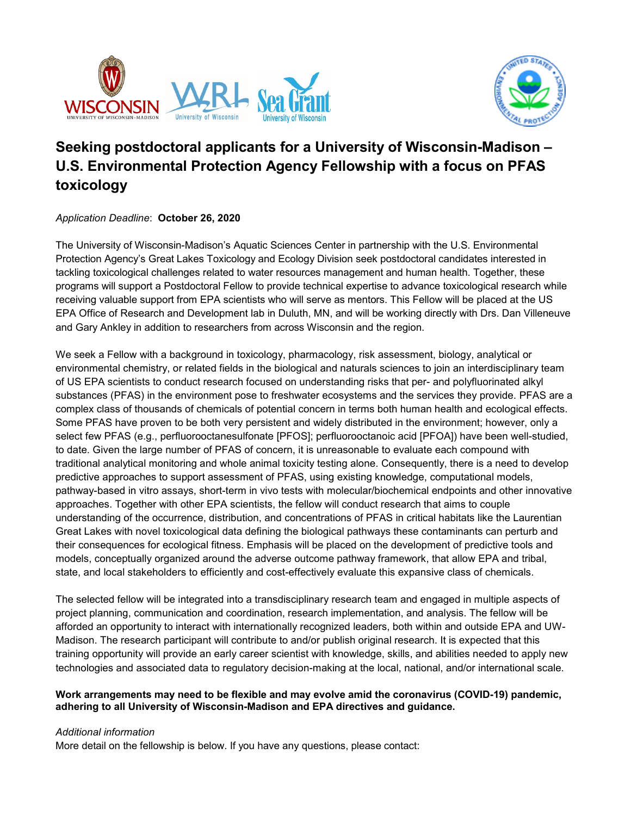



# **Seeking postdoctoral applicants for a University of Wisconsin-Madison – U.S. Environmental Protection Agency Fellowship with a focus on PFAS toxicology**

# *Application Deadline*: **October 26, 2020**

The University of Wisconsin-Madison's Aquatic Sciences Center in partnership with the U.S. Environmental Protection Agency's Great Lakes Toxicology and Ecology Division seek postdoctoral candidates interested in tackling toxicological challenges related to water resources management and human health. Together, these programs will support a Postdoctoral Fellow to provide technical expertise to advance toxicological research while receiving valuable support from EPA scientists who will serve as mentors. This Fellow will be placed at the US EPA Office of Research and Development lab in Duluth, MN, and will be working directly with Drs. Dan Villeneuve and Gary Ankley in addition to researchers from across Wisconsin and the region.

We seek a Fellow with a background in toxicology, pharmacology, risk assessment, biology, analytical or environmental chemistry, or related fields in the biological and naturals sciences to join an interdisciplinary team of US EPA scientists to conduct research focused on understanding risks that per- and polyfluorinated alkyl substances (PFAS) in the environment pose to freshwater ecosystems and the services they provide. PFAS are a complex class of thousands of chemicals of potential concern in terms both human health and ecological effects. Some PFAS have proven to be both very persistent and widely distributed in the environment; however, only a select few PFAS (e.g., perfluorooctanesulfonate [PFOS]; perfluorooctanoic acid [PFOA]) have been well-studied, to date. Given the large number of PFAS of concern, it is unreasonable to evaluate each compound with traditional analytical monitoring and whole animal toxicity testing alone. Consequently, there is a need to develop predictive approaches to support assessment of PFAS, using existing knowledge, computational models, pathway-based in vitro assays, short-term in vivo tests with molecular/biochemical endpoints and other innovative approaches. Together with other EPA scientists, the fellow will conduct research that aims to couple understanding of the occurrence, distribution, and concentrations of PFAS in critical habitats like the Laurentian Great Lakes with novel toxicological data defining the biological pathways these contaminants can perturb and their consequences for ecological fitness. Emphasis will be placed on the development of predictive tools and models, conceptually organized around the adverse outcome pathway framework, that allow EPA and tribal, state, and local stakeholders to efficiently and cost-effectively evaluate this expansive class of chemicals.

The selected fellow will be integrated into a transdisciplinary research team and engaged in multiple aspects of project planning, communication and coordination, research implementation, and analysis. The fellow will be afforded an opportunity to interact with internationally recognized leaders, both within and outside EPA and UW-Madison. The research participant will contribute to and/or publish original research. It is expected that this training opportunity will provide an early career scientist with knowledge, skills, and abilities needed to apply new technologies and associated data to regulatory decision-making at the local, national, and/or international scale.

#### **Work arrangements may need to be flexible and may evolve amid the coronavirus (COVID-19) pandemic, adhering to all University of Wisconsin-Madison and EPA directives and guidance.**

# *Additional information*

More detail on the fellowship is below. If you have any questions, please contact: